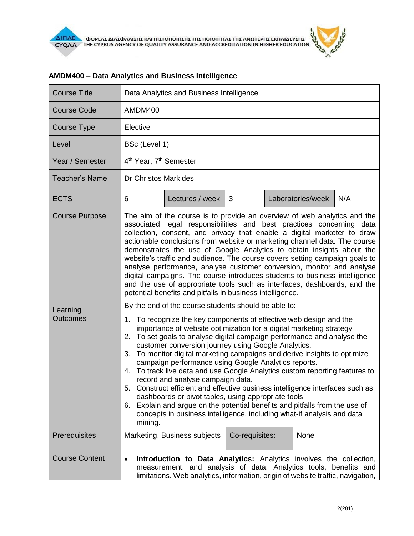| <b>Course Title</b>                                  | Data Analytics and Business Intelligence                                                                                                                                                                                                                                                                                                                                                                                                                                                                                                                                                                                                                                                                                                                                                                                                                                                                                                                                                                                                                                                                                                                                                                                                                                                                                                                                                                                                                                                                                                                                                                                                                                                                |                              |                |  |      |     |
|------------------------------------------------------|---------------------------------------------------------------------------------------------------------------------------------------------------------------------------------------------------------------------------------------------------------------------------------------------------------------------------------------------------------------------------------------------------------------------------------------------------------------------------------------------------------------------------------------------------------------------------------------------------------------------------------------------------------------------------------------------------------------------------------------------------------------------------------------------------------------------------------------------------------------------------------------------------------------------------------------------------------------------------------------------------------------------------------------------------------------------------------------------------------------------------------------------------------------------------------------------------------------------------------------------------------------------------------------------------------------------------------------------------------------------------------------------------------------------------------------------------------------------------------------------------------------------------------------------------------------------------------------------------------------------------------------------------------------------------------------------------------|------------------------------|----------------|--|------|-----|
| <b>Course Code</b>                                   | AMDM400                                                                                                                                                                                                                                                                                                                                                                                                                                                                                                                                                                                                                                                                                                                                                                                                                                                                                                                                                                                                                                                                                                                                                                                                                                                                                                                                                                                                                                                                                                                                                                                                                                                                                                 |                              |                |  |      |     |
| Course Type                                          | Elective                                                                                                                                                                                                                                                                                                                                                                                                                                                                                                                                                                                                                                                                                                                                                                                                                                                                                                                                                                                                                                                                                                                                                                                                                                                                                                                                                                                                                                                                                                                                                                                                                                                                                                |                              |                |  |      |     |
| Level                                                | BSc (Level 1)                                                                                                                                                                                                                                                                                                                                                                                                                                                                                                                                                                                                                                                                                                                                                                                                                                                                                                                                                                                                                                                                                                                                                                                                                                                                                                                                                                                                                                                                                                                                                                                                                                                                                           |                              |                |  |      |     |
| Year / Semester                                      | 4 <sup>th</sup> Year, 7 <sup>th</sup> Semester                                                                                                                                                                                                                                                                                                                                                                                                                                                                                                                                                                                                                                                                                                                                                                                                                                                                                                                                                                                                                                                                                                                                                                                                                                                                                                                                                                                                                                                                                                                                                                                                                                                          |                              |                |  |      |     |
| <b>Teacher's Name</b>                                | <b>Dr Christos Markides</b>                                                                                                                                                                                                                                                                                                                                                                                                                                                                                                                                                                                                                                                                                                                                                                                                                                                                                                                                                                                                                                                                                                                                                                                                                                                                                                                                                                                                                                                                                                                                                                                                                                                                             |                              |                |  |      |     |
| <b>ECTS</b>                                          | 6                                                                                                                                                                                                                                                                                                                                                                                                                                                                                                                                                                                                                                                                                                                                                                                                                                                                                                                                                                                                                                                                                                                                                                                                                                                                                                                                                                                                                                                                                                                                                                                                                                                                                                       | Lectures / week              | 3              |  |      | N/A |
| <b>Course Purpose</b><br>Learning<br><b>Outcomes</b> | Laboratories/week<br>The aim of the course is to provide an overview of web analytics and the<br>associated legal responsibilities and best practices concerning data<br>collection, consent, and privacy that enable a digital marketer to draw<br>actionable conclusions from website or marketing channel data. The course<br>demonstrates the use of Google Analytics to obtain insights about the<br>website's traffic and audience. The course covers setting campaign goals to<br>analyse performance, analyse customer conversion, monitor and analyse<br>digital campaigns. The course introduces students to business intelligence<br>and the use of appropriate tools such as interfaces, dashboards, and the<br>potential benefits and pitfalls in business intelligence.<br>By the end of the course students should be able to:<br>To recognize the key components of effective web design and the<br>1.<br>importance of website optimization for a digital marketing strategy<br>To set goals to analyse digital campaign performance and analyse the<br>2.<br>customer conversion journey using Google Analytics.<br>3. To monitor digital marketing campaigns and derive insights to optimize<br>campaign performance using Google Analytics reports.<br>4. To track live data and use Google Analytics custom reporting features to<br>record and analyse campaign data.<br>5. Construct efficient and effective business intelligence interfaces such as<br>dashboards or pivot tables, using appropriate tools<br>6. Explain and argue on the potential benefits and pitfalls from the use of<br>concepts in business intelligence, including what-if analysis and data<br>mining. |                              |                |  |      |     |
| Prerequisites                                        |                                                                                                                                                                                                                                                                                                                                                                                                                                                                                                                                                                                                                                                                                                                                                                                                                                                                                                                                                                                                                                                                                                                                                                                                                                                                                                                                                                                                                                                                                                                                                                                                                                                                                                         | Marketing, Business subjects | Co-requisites: |  | None |     |
| <b>Course Content</b>                                | Introduction to Data Analytics: Analytics involves the collection,<br>$\bullet$<br>measurement, and analysis of data. Analytics tools, benefits and<br>limitations. Web analytics, information, origin of website traffic, navigation,                                                                                                                                                                                                                                                                                                                                                                                                                                                                                                                                                                                                                                                                                                                                                                                                                                                                                                                                                                                                                                                                                                                                                                                                                                                                                                                                                                                                                                                                  |                              |                |  |      |     |

## **AMDM400 – Data Analytics and Business Intelligence**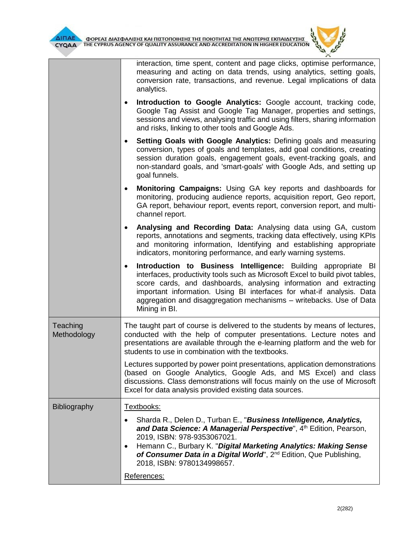interaction, time spent, content and page clicks, optimise performance, measuring and acting on data trends, using analytics, setting goals, conversion rate, transactions, and revenue. Legal implications of data analytics.

- **Introduction to Google Analytics:** Google account, tracking code, Google Tag Assist and Google Tag Manager, properties and settings, sessions and views, analysing traffic and using filters, sharing information and risks, linking to other tools and Google Ads.
- **Setting Goals with Google Analytics:** Defining goals and measuring conversion, types of goals and templates, add goal conditions, creating session duration goals, engagement goals, event-tracking goals, and non-standard goals, and 'smart-goals' with Google Ads, and setting up goal funnels.
- **Monitoring Campaigns:** Using GA key reports and dashboards for monitoring, producing audience reports, acquisition report, Geo report, GA report, behaviour report, events report, conversion report, and multichannel report.
- **Analysing and Recording Data:** Analysing data using GA, custom reports, annotations and segments, tracking data effectively, using KPIs and monitoring information, Identifying and establishing appropriate indicators, monitoring performance, and early warning systems.
- **Introduction to Business Intelligence:** Building appropriate BI interfaces, productivity tools such as Microsoft Excel to build pivot tables, score cards, and dashboards, analysing information and extracting important information. Using BI interfaces for what-if analysis. Data aggregation and disaggregation mechanisms – writebacks. Use of Data Mining in BI.
- **Teaching** Methodology The taught part of course is delivered to the students by means of lectures, conducted with the help of computer presentations. Lecture notes and presentations are available through the e-learning platform and the web for students to use in combination with the textbooks.

Lectures supported by power point presentations, application demonstrations (based on Google Analytics, Google Ads, and MS Excel) and class discussions. Class demonstrations will focus mainly on the use of Microsoft Excel for data analysis provided existing data sources.

| Bibliography | Textbooks:                                                                                                                                                                                    |  |  |  |  |
|--------------|-----------------------------------------------------------------------------------------------------------------------------------------------------------------------------------------------|--|--|--|--|
|              | Sharda R., Delen D., Turban E., "Business Intelligence, Analytics,<br>and Data Science: A Managerial Perspective", 4th Edition, Pearson,<br>2019, ISBN: 978-9353067021.                       |  |  |  |  |
|              | Hemann C., Burbary K. "Digital Marketing Analytics: Making Sense<br>$\bullet$<br>of Consumer Data in a Digital World", 2 <sup>nd</sup> Edition, Que Publishing,<br>2018, ISBN: 9780134998657. |  |  |  |  |
|              | References:                                                                                                                                                                                   |  |  |  |  |